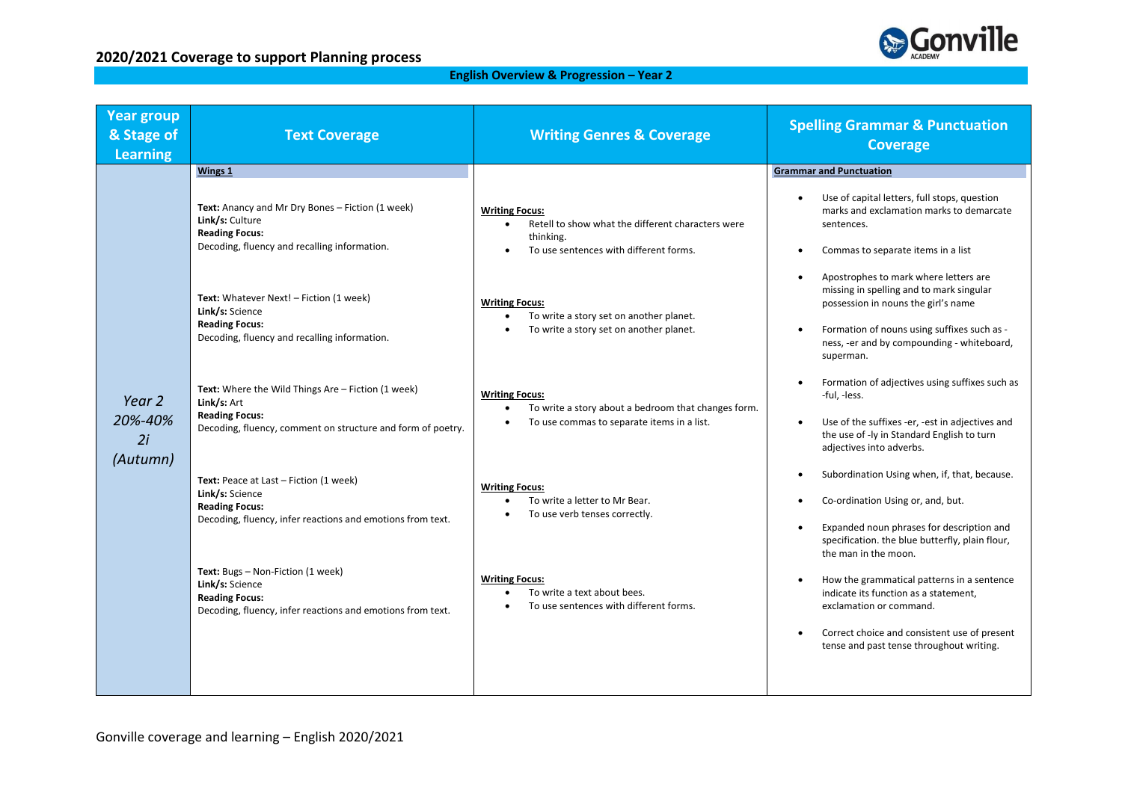

### **English Overview & Progression – Year 2**

| <b>Year group</b><br>& Stage of<br><b>Learning</b> | <b>Text Coverage</b>                                                                                                                                      | <b>Writing Genres &amp; Coverage</b>                                                                                       | <b>Spelling Grammar &amp; Punctuation</b><br><b>Coverage</b>                                                                                                    |
|----------------------------------------------------|-----------------------------------------------------------------------------------------------------------------------------------------------------------|----------------------------------------------------------------------------------------------------------------------------|-----------------------------------------------------------------------------------------------------------------------------------------------------------------|
| Year 2<br>20%-40%<br>2i<br>(Autumn)                | Text: Anancy and Mr Dry Bones - Fiction (1 week)<br>Link/s: Culture<br><b>Reading Focus:</b>                                                              | <b>Writing Focus:</b><br>Retell to show what the different characters were<br>thinking.                                    | Use of capital letters, full stops, question<br>marks and exclamation marks to demarcate<br>sentences.                                                          |
|                                                    | Decoding, fluency and recalling information.                                                                                                              | To use sentences with different forms.                                                                                     | Commas to separate items in a list<br>Apostrophes to mark where letters are<br>missing in spelling and to mark singular                                         |
|                                                    | Text: Whatever Next! - Fiction (1 week)<br>Link/s: Science<br><b>Reading Focus:</b><br>Decoding, fluency and recalling information.                       | <b>Writing Focus:</b><br>To write a story set on another planet.<br>To write a story set on another planet.                | possession in nouns the girl's name<br>Formation of nouns using suffixes such as -<br>ness, -er and by compounding - whiteboard,<br>superman.                   |
|                                                    | Text: Where the Wild Things Are - Fiction (1 week)<br>Link/s: Art<br><b>Reading Focus:</b><br>Decoding, fluency, comment on structure and form of poetry. | <b>Writing Focus:</b><br>To write a story about a bedroom that changes form.<br>To use commas to separate items in a list. | Formation of adjectives using suffixes such as<br>-ful, -less.<br>Use of the suffixes -er, -est in adjectives and<br>the use of -ly in Standard English to turn |
|                                                    | Text: Peace at Last - Fiction (1 week)                                                                                                                    |                                                                                                                            | adjectives into adverbs.<br>Subordination Using when, if, that, because.                                                                                        |
|                                                    | Link/s: Science<br><b>Reading Focus:</b><br>Decoding, fluency, infer reactions and emotions from text.                                                    | <b>Writing Focus:</b><br>To write a letter to Mr Bear.<br>To use verb tenses correctly.                                    | Co-ordination Using or, and, but.<br>Expanded noun phrases for description and                                                                                  |
|                                                    | Text: Bugs - Non-Fiction (1 week)                                                                                                                         |                                                                                                                            | specification. the blue butterfly, plain flour,<br>the man in the moon.                                                                                         |
|                                                    | Link/s: Science<br><b>Reading Focus:</b><br>Decoding, fluency, infer reactions and emotions from text.                                                    | <b>Writing Focus:</b><br>To write a text about bees.<br>To use sentences with different forms.                             | How the grammatical patterns in a sentence<br>indicate its function as a statement,<br>exclamation or command.                                                  |
|                                                    |                                                                                                                                                           |                                                                                                                            | Correct choice and consistent use of present<br>tense and past tense throughout writing.                                                                        |
|                                                    |                                                                                                                                                           |                                                                                                                            |                                                                                                                                                                 |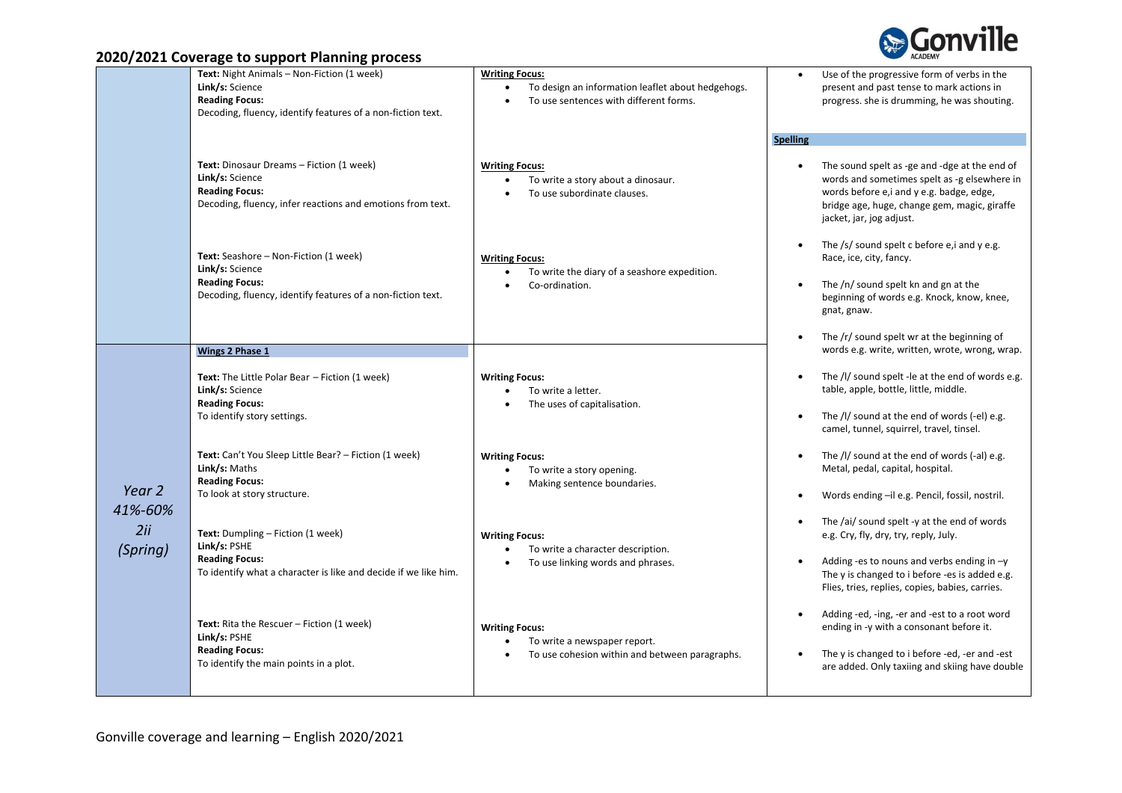

|                                      | Text: Night Animals - Non-Fiction (1 week)<br>Link/s: Science<br><b>Reading Focus:</b><br>Decoding, fluency, identify features of a non-fiction text. | <b>Writing Focus:</b><br>To design an information leaflet about hedgehogs.<br>To use sentences with different forms.      | Use of the progressive form of verbs in the<br>present and past tense to mark actions in<br>progress. she is drumming, he was shouting.                                                                                                                |
|--------------------------------------|-------------------------------------------------------------------------------------------------------------------------------------------------------|---------------------------------------------------------------------------------------------------------------------------|--------------------------------------------------------------------------------------------------------------------------------------------------------------------------------------------------------------------------------------------------------|
|                                      | Text: Dinosaur Dreams - Fiction (1 week)<br>Link/s: Science<br><b>Reading Focus:</b><br>Decoding, fluency, infer reactions and emotions from text.    | <b>Writing Focus:</b><br>To write a story about a dinosaur.<br>To use subordinate clauses.                                | <b>Spelling</b><br>The sound spelt as -ge and -dge at the end of<br>$\bullet$<br>words and sometimes spelt as -g elsewhere in<br>words before e, i and y e.g. badge, edge,<br>bridge age, huge, change gem, magic, giraffe<br>jacket, jar, jog adjust. |
|                                      | Text: Seashore - Non-Fiction (1 week)<br>Link/s: Science<br><b>Reading Focus:</b><br>Decoding, fluency, identify features of a non-fiction text.      | <b>Writing Focus:</b><br>To write the diary of a seashore expedition.<br>Co-ordination.<br>$\bullet$                      | The /s/ sound spelt c before e, i and y e.g.<br>$\bullet$<br>Race, ice, city, fancy.<br>The /n/ sound spelt kn and gn at the<br>beginning of words e.g. Knock, know, knee,<br>gnat, gnaw.<br>The /r/ sound spelt wr at the beginning of<br>$\bullet$   |
|                                      | Wings 2 Phase 1                                                                                                                                       |                                                                                                                           | words e.g. write, written, wrote, wrong, wrap.                                                                                                                                                                                                         |
| Year 2<br>41%-60%<br>2ii<br>(Spring) | <b>Text:</b> The Little Polar Bear - Fiction (1 week)<br>Link/s: Science<br><b>Reading Focus:</b><br>To identify story settings.                      | <b>Writing Focus:</b><br>To write a letter.<br>The uses of capitalisation.                                                | The /l/ sound spelt -le at the end of words e.g.<br>table, apple, bottle, little, middle.<br>The /l/ sound at the end of words (-el) e.g.<br>camel, tunnel, squirrel, travel, tinsel.                                                                  |
|                                      | Text: Can't You Sleep Little Bear? - Fiction (1 week)<br>Link/s: Maths<br><b>Reading Focus:</b><br>To look at story structure.                        | <b>Writing Focus:</b><br>To write a story opening.<br>Making sentence boundaries.                                         | The /l/ sound at the end of words (-al) e.g.<br>$\bullet$<br>Metal, pedal, capital, hospital.<br>Words ending -il e.g. Pencil, fossil, nostril.                                                                                                        |
|                                      | Text: Dumpling - Fiction (1 week)<br>Link/s: PSHE<br><b>Reading Focus:</b><br>To identify what a character is like and decide if we like him.         | <b>Writing Focus:</b><br>To write a character description.<br>$\bullet$<br>To use linking words and phrases.<br>$\bullet$ | The /ai/ sound spelt -y at the end of words<br>e.g. Cry, fly, dry, try, reply, July.<br>Adding -es to nouns and verbs ending in $-y$<br>$\bullet$<br>The y is changed to i before -es is added e.g.<br>Flies, tries, replies, copies, babies, carries. |
|                                      | <b>Text:</b> Rita the Rescuer - Fiction (1 week)<br>Link/s: PSHE<br><b>Reading Focus:</b><br>To identify the main points in a plot.                   | <b>Writing Focus:</b><br>To write a newspaper report.<br>To use cohesion within and between paragraphs.<br>$\bullet$      | Adding -ed, -ing, -er and -est to a root word<br>$\bullet$<br>ending in -y with a consonant before it.<br>The y is changed to i before -ed, -er and -est<br>$\bullet$<br>are added. Only taxiing and skiing have double                                |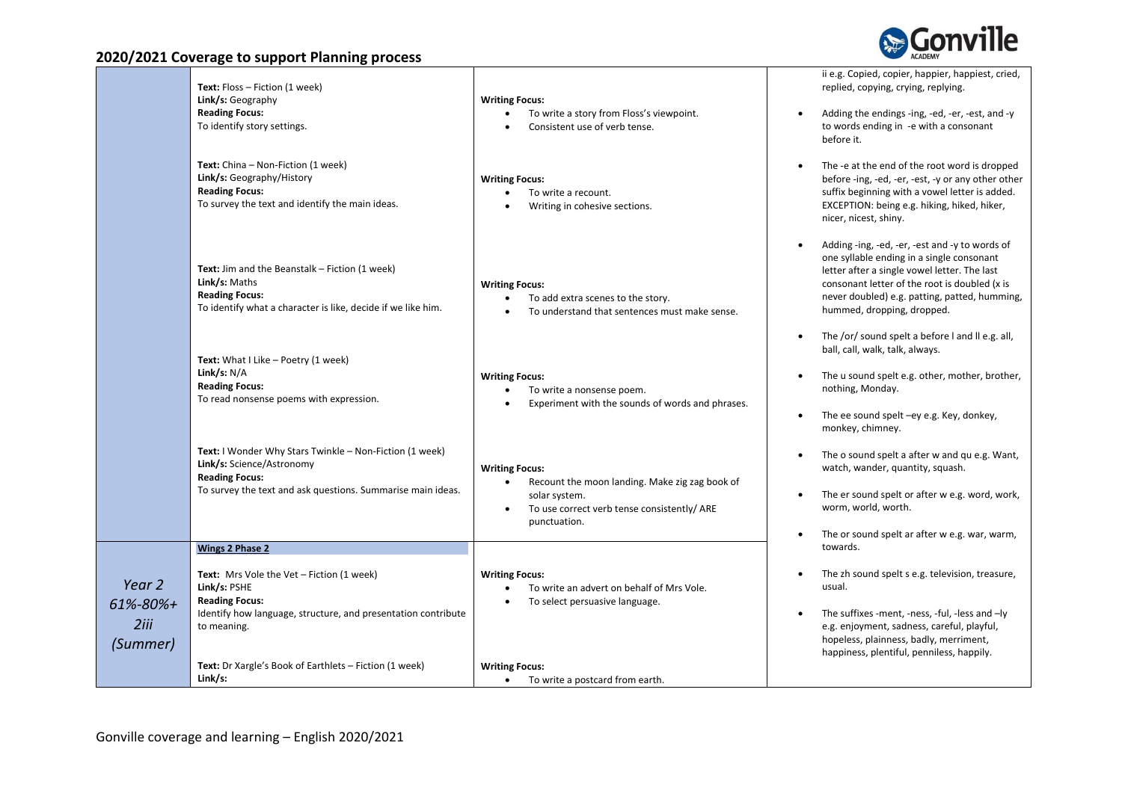

|                                        | Text: Floss - Fiction (1 week)<br>Link/s: Geography<br><b>Reading Focus:</b><br>To identify story settings.                                                                                                                         | <b>Writing Focus:</b><br>To write a story from Floss's viewpoint.<br>Consistent use of verb tense.                                                                                | ii e.g. Copied, copier, happier, happiest, cried,<br>replied, copying, crying, replying.<br>Adding the endings -ing, -ed, -er, -est, and -y<br>to words ending in -e with a consonant<br>before it.                                                                                                                             |
|----------------------------------------|-------------------------------------------------------------------------------------------------------------------------------------------------------------------------------------------------------------------------------------|-----------------------------------------------------------------------------------------------------------------------------------------------------------------------------------|---------------------------------------------------------------------------------------------------------------------------------------------------------------------------------------------------------------------------------------------------------------------------------------------------------------------------------|
|                                        | Text: China - Non-Fiction (1 week)<br>Link/s: Geography/History<br><b>Reading Focus:</b><br>To survey the text and identify the main ideas.                                                                                         | <b>Writing Focus:</b><br>To write a recount.<br>$\bullet$<br>Writing in cohesive sections.                                                                                        | The -e at the end of the root word is dropped<br>before -ing, -ed, -er, -est, -y or any other other<br>suffix beginning with a vowel letter is added.<br>EXCEPTION: being e.g. hiking, hiked, hiker,<br>nicer, nicest, shiny.                                                                                                   |
|                                        | <b>Text:</b> Jim and the Beanstalk - Fiction (1 week)<br>Link/s: Maths<br><b>Reading Focus:</b><br>To identify what a character is like, decide if we like him.                                                                     | <b>Writing Focus:</b><br>To add extra scenes to the story.<br>$\bullet$<br>To understand that sentences must make sense.                                                          | Adding -ing, -ed, -er, -est and -y to words of<br>one syllable ending in a single consonant<br>letter after a single vowel letter. The last<br>consonant letter of the root is doubled (x is<br>never doubled) e.g. patting, patted, humming,<br>hummed, dropping, dropped.<br>The /or/ sound spelt a before I and II e.g. all, |
|                                        | Text: What I Like - Poetry (1 week)<br>Link/s: $N/A$<br><b>Reading Focus:</b><br>To read nonsense poems with expression.                                                                                                            | <b>Writing Focus:</b><br>To write a nonsense poem.<br>$\bullet$<br>Experiment with the sounds of words and phrases.                                                               | ball, call, walk, talk, always.<br>The u sound spelt e.g. other, mother, brother,<br>nothing, Monday.<br>The ee sound spelt -ey e.g. Key, donkey,<br>monkey, chimney.                                                                                                                                                           |
|                                        | Text: I Wonder Why Stars Twinkle - Non-Fiction (1 week)<br>Link/s: Science/Astronomy<br><b>Reading Focus:</b><br>To survey the text and ask questions. Summarise main ideas.                                                        | <b>Writing Focus:</b><br>Recount the moon landing. Make zig zag book of<br>$\bullet$<br>solar system.<br>To use correct verb tense consistently/ ARE<br>$\bullet$<br>punctuation. | The o sound spelt a after w and qu e.g. Want,<br>watch, wander, quantity, squash.<br>The er sound spelt or after w e.g. word, work,<br>worm, world, worth.<br>The or sound spelt ar after w e.g. war, warm,                                                                                                                     |
|                                        | <b>Wings 2 Phase 2</b>                                                                                                                                                                                                              |                                                                                                                                                                                   | towards.                                                                                                                                                                                                                                                                                                                        |
| Year 2<br>61%-80%+<br>2iii<br>(Summer) | Text: Mrs Vole the Vet - Fiction (1 week)<br>Link/s: PSHE<br><b>Reading Focus:</b><br>Identify how language, structure, and presentation contribute<br>to meaning.<br><b>Text:</b> Dr Xargle's Book of Earthlets – Fiction (1 week) | <b>Writing Focus:</b><br>To write an advert on behalf of Mrs Vole.<br>To select persuasive language.<br><b>Writing Focus:</b>                                                     | The zh sound spelt s e.g. television, treasure,<br>usual.<br>The suffixes -ment, -ness, -ful, -less and -ly<br>e.g. enjoyment, sadness, careful, playful,<br>hopeless, plainness, badly, merriment,<br>happiness, plentiful, penniless, happily.                                                                                |
|                                        | Link/s:                                                                                                                                                                                                                             | To write a postcard from earth.                                                                                                                                                   |                                                                                                                                                                                                                                                                                                                                 |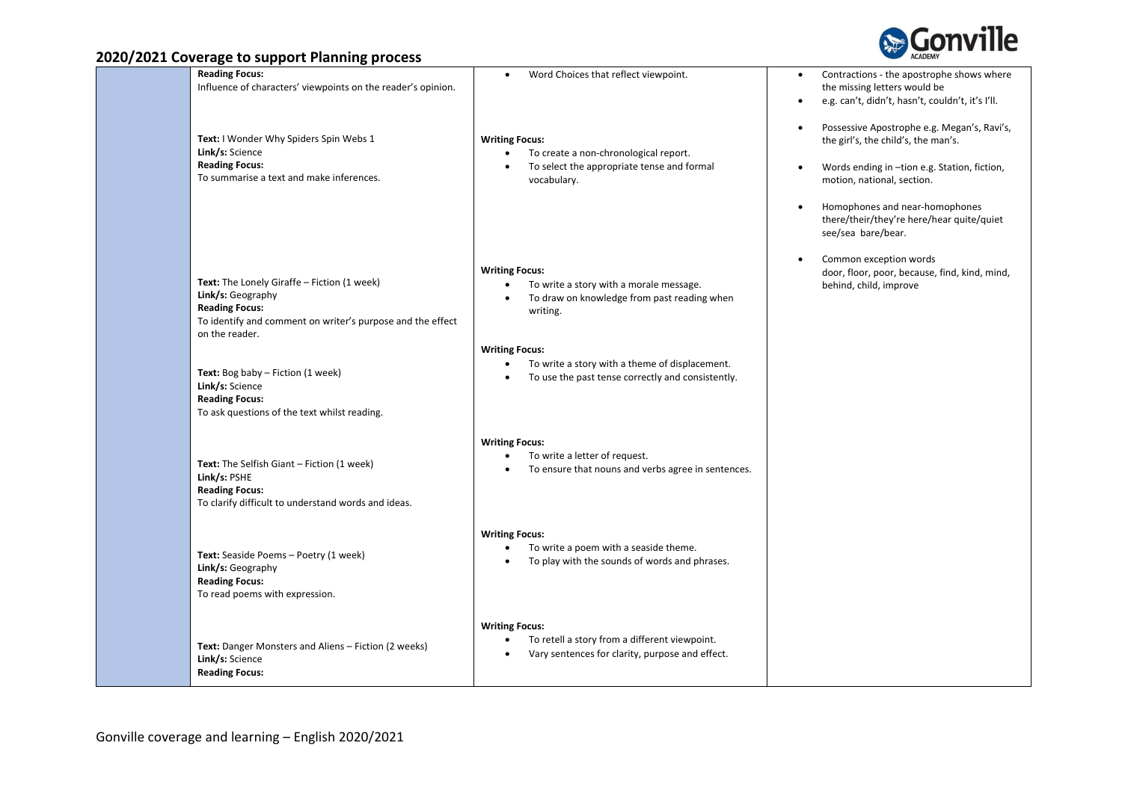



| $20 - 20 - 20 - 30 - 30 = 0$                                                                                                                                              |                                                                                                                                          |                                                                                                                                            |
|---------------------------------------------------------------------------------------------------------------------------------------------------------------------------|------------------------------------------------------------------------------------------------------------------------------------------|--------------------------------------------------------------------------------------------------------------------------------------------|
| <b>Reading Focus:</b><br>Influence of characters' viewpoints on the reader's opinion.                                                                                     | Word Choices that reflect viewpoint.<br>$\bullet$                                                                                        | Contractions - the apostrophe shows where<br>$\bullet$<br>the missing letters would be<br>e.g. can't, didn't, hasn't, couldn't, it's I'll. |
| Text: I Wonder Why Spiders Spin Webs 1<br>Link/s: Science                                                                                                                 | <b>Writing Focus:</b><br>To create a non-chronological report.                                                                           | Possessive Apostrophe e.g. Megan's, Ravi's,<br>the girl's, the child's, the man's.                                                         |
| <b>Reading Focus:</b><br>To summarise a text and make inferences.                                                                                                         | To select the appropriate tense and formal<br>$\bullet$<br>vocabulary.                                                                   | Words ending in -tion e.g. Station, fiction,<br>$\bullet$<br>motion, national, section.                                                    |
|                                                                                                                                                                           |                                                                                                                                          | Homophones and near-homophones<br>there/their/they're here/hear quite/quiet<br>see/sea bare/bear.                                          |
| Text: The Lonely Giraffe - Fiction (1 week)<br>Link/s: Geography<br><b>Reading Focus:</b><br>To identify and comment on writer's purpose and the effect<br>on the reader. | <b>Writing Focus:</b><br>To write a story with a morale message.<br>$\bullet$<br>To draw on knowledge from past reading when<br>writing. | Common exception words<br>$\bullet$<br>door, floor, poor, because, find, kind, mind,<br>behind, child, improve                             |
| Text: Bog baby - Fiction (1 week)<br>Link/s: Science<br><b>Reading Focus:</b><br>To ask questions of the text whilst reading.                                             | <b>Writing Focus:</b><br>To write a story with a theme of displacement.<br>To use the past tense correctly and consistently.             |                                                                                                                                            |
| Text: The Selfish Giant - Fiction (1 week)<br>Link/s: PSHE<br><b>Reading Focus:</b><br>To clarify difficult to understand words and ideas.                                | <b>Writing Focus:</b><br>To write a letter of request.<br>$\bullet$<br>To ensure that nouns and verbs agree in sentences.                |                                                                                                                                            |
| Text: Seaside Poems - Poetry (1 week)<br>Link/s: Geography<br><b>Reading Focus:</b><br>To read poems with expression.                                                     | <b>Writing Focus:</b><br>To write a poem with a seaside theme.<br>To play with the sounds of words and phrases.                          |                                                                                                                                            |
| Text: Danger Monsters and Aliens - Fiction (2 weeks)<br>Link/s: Science<br><b>Reading Focus:</b>                                                                          | <b>Writing Focus:</b><br>To retell a story from a different viewpoint.<br>$\bullet$<br>Vary sentences for clarity, purpose and effect.   |                                                                                                                                            |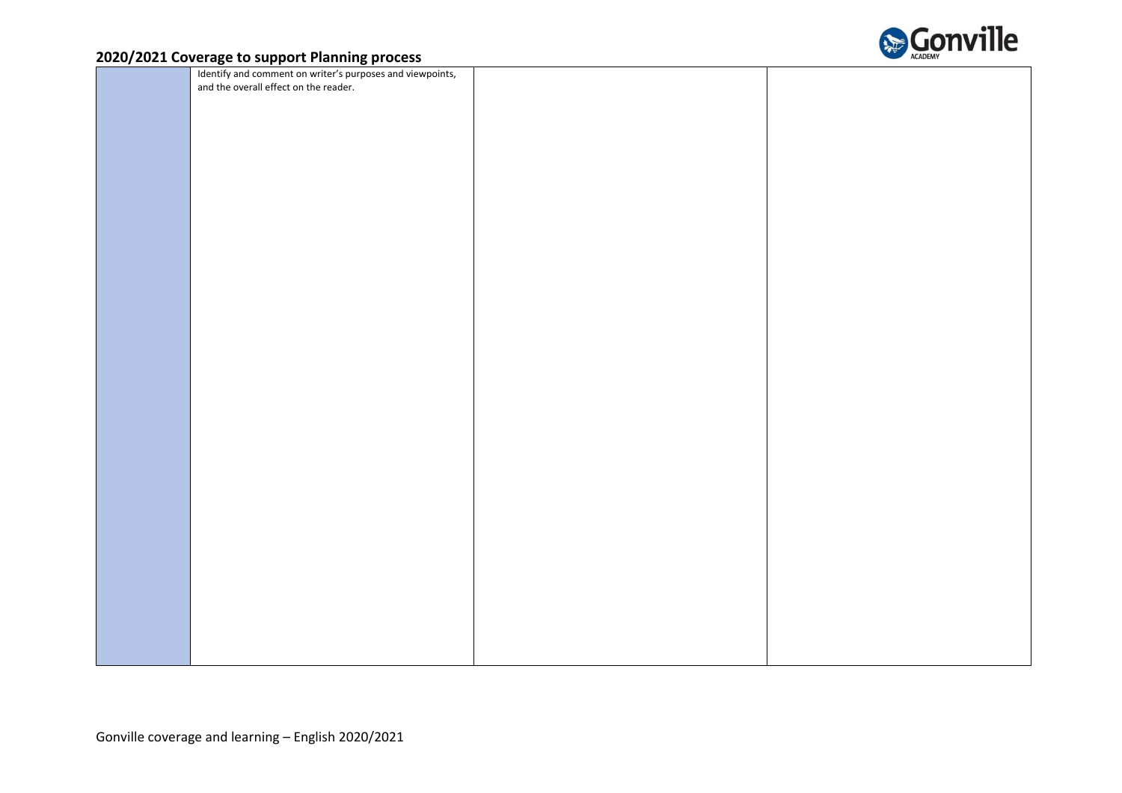

| Identify and comment on writer's purposes and viewpoints,<br>and the overall effect on the reader. |  |
|----------------------------------------------------------------------------------------------------|--|
|                                                                                                    |  |
|                                                                                                    |  |
|                                                                                                    |  |
|                                                                                                    |  |
|                                                                                                    |  |
|                                                                                                    |  |
|                                                                                                    |  |
|                                                                                                    |  |
|                                                                                                    |  |
|                                                                                                    |  |
|                                                                                                    |  |
|                                                                                                    |  |
|                                                                                                    |  |
|                                                                                                    |  |
|                                                                                                    |  |
|                                                                                                    |  |
|                                                                                                    |  |
|                                                                                                    |  |
|                                                                                                    |  |
|                                                                                                    |  |
|                                                                                                    |  |
|                                                                                                    |  |
|                                                                                                    |  |
|                                                                                                    |  |
|                                                                                                    |  |
|                                                                                                    |  |
|                                                                                                    |  |
|                                                                                                    |  |
|                                                                                                    |  |
|                                                                                                    |  |
|                                                                                                    |  |
|                                                                                                    |  |
|                                                                                                    |  |
|                                                                                                    |  |
|                                                                                                    |  |
|                                                                                                    |  |
|                                                                                                    |  |
|                                                                                                    |  |
|                                                                                                    |  |
|                                                                                                    |  |
|                                                                                                    |  |
|                                                                                                    |  |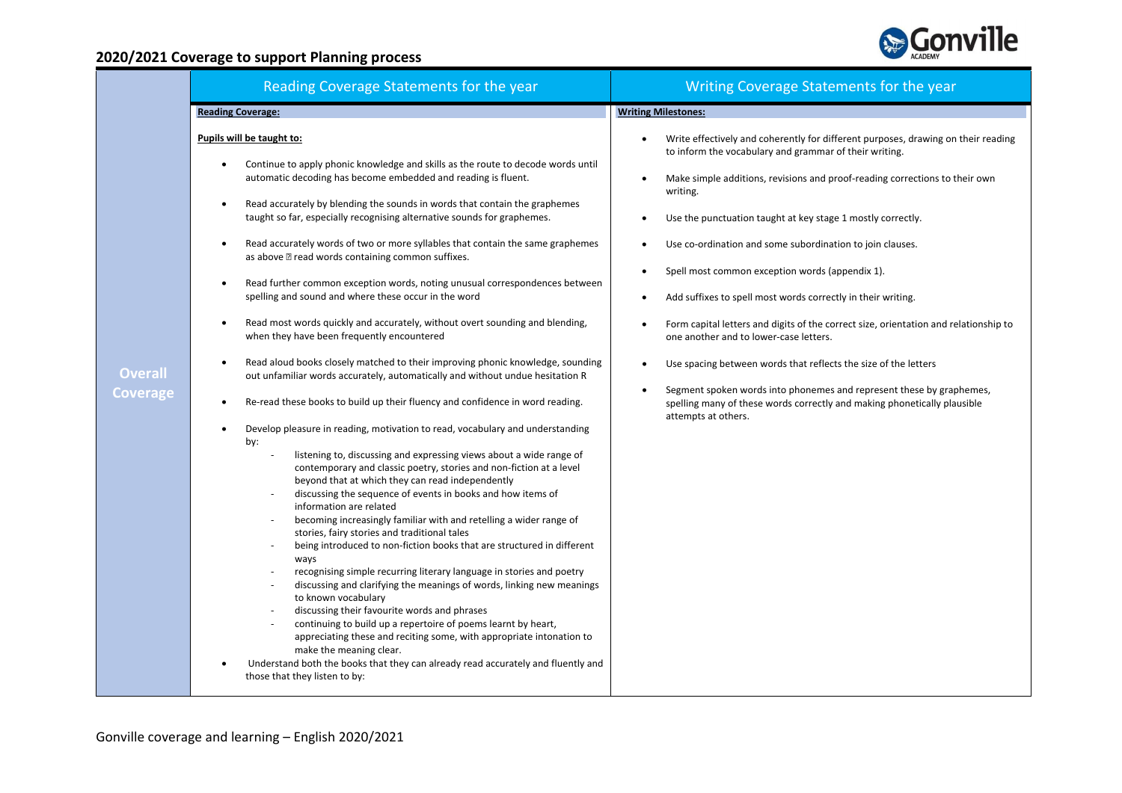

| Reading Coverage Statements for the year                                                                                                                                                                                                                                                                                                                                                                                                                                                                                                                                                                                                                                                                                                                                                                                                                                                                                                                                                                                                                                                                                                                                                                                                                                                                                                                                                                                                                                                                                                                                                                                                                                                                                                                                                                                                                                                                                                                                                                                                                                                                                                                                                                                            | Writing Coverage Statements for the year                                                                                                                                                                                                                                                                                                                                                                                                                                                                                                                                                                                                                                                                                                                                                                                                                                                                                  |  |
|-------------------------------------------------------------------------------------------------------------------------------------------------------------------------------------------------------------------------------------------------------------------------------------------------------------------------------------------------------------------------------------------------------------------------------------------------------------------------------------------------------------------------------------------------------------------------------------------------------------------------------------------------------------------------------------------------------------------------------------------------------------------------------------------------------------------------------------------------------------------------------------------------------------------------------------------------------------------------------------------------------------------------------------------------------------------------------------------------------------------------------------------------------------------------------------------------------------------------------------------------------------------------------------------------------------------------------------------------------------------------------------------------------------------------------------------------------------------------------------------------------------------------------------------------------------------------------------------------------------------------------------------------------------------------------------------------------------------------------------------------------------------------------------------------------------------------------------------------------------------------------------------------------------------------------------------------------------------------------------------------------------------------------------------------------------------------------------------------------------------------------------------------------------------------------------------------------------------------------------|---------------------------------------------------------------------------------------------------------------------------------------------------------------------------------------------------------------------------------------------------------------------------------------------------------------------------------------------------------------------------------------------------------------------------------------------------------------------------------------------------------------------------------------------------------------------------------------------------------------------------------------------------------------------------------------------------------------------------------------------------------------------------------------------------------------------------------------------------------------------------------------------------------------------------|--|
| <b>Reading Coverage:</b>                                                                                                                                                                                                                                                                                                                                                                                                                                                                                                                                                                                                                                                                                                                                                                                                                                                                                                                                                                                                                                                                                                                                                                                                                                                                                                                                                                                                                                                                                                                                                                                                                                                                                                                                                                                                                                                                                                                                                                                                                                                                                                                                                                                                            | <b>Writing Milestones:</b>                                                                                                                                                                                                                                                                                                                                                                                                                                                                                                                                                                                                                                                                                                                                                                                                                                                                                                |  |
| Pupils will be taught to:<br>Continue to apply phonic knowledge and skills as the route to decode words until<br>$\bullet$<br>automatic decoding has become embedded and reading is fluent.<br>Read accurately by blending the sounds in words that contain the graphemes<br>$\bullet$<br>taught so far, especially recognising alternative sounds for graphemes.<br>Read accurately words of two or more syllables that contain the same graphemes<br>$\bullet$<br>as above <b>E</b> read words containing common suffixes.<br>Read further common exception words, noting unusual correspondences between<br>$\bullet$<br>spelling and sound and where these occur in the word<br>Read most words quickly and accurately, without overt sounding and blending,<br>$\bullet$<br>when they have been frequently encountered<br>Read aloud books closely matched to their improving phonic knowledge, sounding<br>$\bullet$<br>out unfamiliar words accurately, automatically and without undue hesitation R<br>Re-read these books to build up their fluency and confidence in word reading.<br>$\bullet$<br>Develop pleasure in reading, motivation to read, vocabulary and understanding<br>$\bullet$<br>by:<br>listening to, discussing and expressing views about a wide range of<br>contemporary and classic poetry, stories and non-fiction at a level<br>beyond that at which they can read independently<br>discussing the sequence of events in books and how items of<br>information are related<br>becoming increasingly familiar with and retelling a wider range of<br>stories, fairy stories and traditional tales<br>being introduced to non-fiction books that are structured in different<br>ways<br>recognising simple recurring literary language in stories and poetry<br>discussing and clarifying the meanings of words, linking new meanings<br>to known vocabulary<br>discussing their favourite words and phrases<br>continuing to build up a repertoire of poems learnt by heart,<br>appreciating these and reciting some, with appropriate intonation to<br>make the meaning clear.<br>Understand both the books that they can already read accurately and fluently and<br>those that they listen to by: | Write effectively and coherently for different purposes, drawing on their reading<br>$\bullet$<br>to inform the vocabulary and grammar of their writing.<br>Make simple additions, revisions and proof-reading corrections to their own<br>writing.<br>Use the punctuation taught at key stage 1 mostly correctly.<br>Use co-ordination and some subordination to join clauses.<br>$\bullet$<br>Spell most common exception words (appendix 1).<br>$\bullet$<br>Add suffixes to spell most words correctly in their writing.<br>$\bullet$<br>Form capital letters and digits of the correct size, orientation and relationship to<br>one another and to lower-case letters.<br>Use spacing between words that reflects the size of the letters<br>Segment spoken words into phonemes and represent these by graphemes,<br>spelling many of these words correctly and making phonetically plausible<br>attempts at others. |  |
|                                                                                                                                                                                                                                                                                                                                                                                                                                                                                                                                                                                                                                                                                                                                                                                                                                                                                                                                                                                                                                                                                                                                                                                                                                                                                                                                                                                                                                                                                                                                                                                                                                                                                                                                                                                                                                                                                                                                                                                                                                                                                                                                                                                                                                     |                                                                                                                                                                                                                                                                                                                                                                                                                                                                                                                                                                                                                                                                                                                                                                                                                                                                                                                           |  |